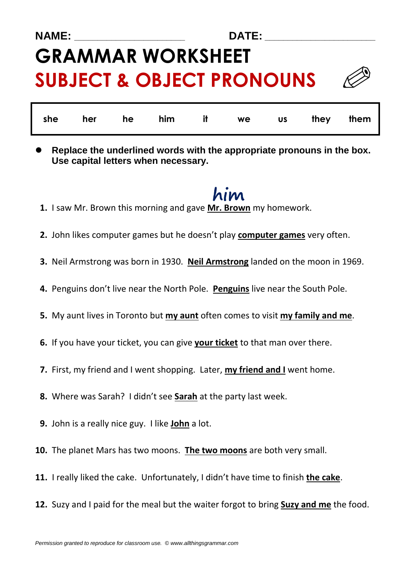# **NAME: \_\_\_\_\_\_\_\_\_\_\_\_\_\_\_\_\_\_\_\_\_\_\_\_ DATE: \_\_\_\_\_\_\_\_\_\_\_\_\_\_\_\_\_\_\_\_\_\_\_\_ GRAMMAR WORKSHEET SUBJECT & OBJECT PRONOUNS**

|  | she her he him it we us they them |  |  |  |
|--|-----------------------------------|--|--|--|
|  |                                   |  |  |  |

 **Replace the underlined words with the appropriate pronouns in the box. Use capital letters when necessary.**

- **1.** I saw Mr. Brown this morning and gave **Mr. Brown** my homework.
- **2.** John likes computer games but he doesn't play **computer games** very often.
- **3.** Neil Armstrong was born in 1930. **Neil Armstrong** landed on the moon in 1969.
- **4.** Penguins don't live near the North Pole. **Penguins** live near the South Pole.
- **5.** My aunt lives in Toronto but **my aunt** often comes to visit **my family and me**.
- **6.** If you have your ticket, you can give **your ticket** to that man over there.
- **7.** First, my friend and I went shopping. Later, **my friend and I** went home.
- **8.** Where was Sarah? I didn't see **Sarah** at the party last week.
- **9.** John is a really nice guy. I like **John** a lot.
- **10.** The planet Mars has two moons. **The two moons** are both very small.
- **11.** I really liked the cake. Unfortunately, I didn't have time to finish **the cake**.
- **12.** Suzy and I paid for the meal but the waiter forgot to bring **Suzy and me** the food.